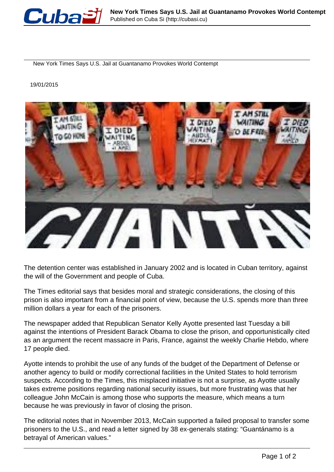

New York Times Says U.S. Jail at Guantanamo Provokes World Contempt

19/01/2015



The detention center was established in January 2002 and is located in Cuban territory, against the will of the Government and people of Cuba.

The Times editorial says that besides moral and strategic considerations, the closing of this prison is also important from a financial point of view, because the U.S. spends more than three million dollars a year for each of the prisoners.

The newspaper added that Republican Senator Kelly Ayotte presented last Tuesday a bill against the intentions of President Barack Obama to close the prison, and opportunistically cited as an argument the recent massacre in Paris, France, against the weekly Charlie Hebdo, where 17 people died.

Ayotte intends to prohibit the use of any funds of the budget of the Department of Defense or another agency to build or modify correctional facilities in the United States to hold terrorism suspects. According to the Times, this misplaced initiative is not a surprise, as Ayotte usually takes extreme positions regarding national security issues, but more frustrating was that her colleague John McCain is among those who supports the measure, which means a turn because he was previously in favor of closing the prison.

The editorial notes that in November 2013, McCain supported a failed proposal to transfer some prisoners to the U.S., and read a letter signed by 38 ex-generals stating: "Guantánamo is a betrayal of American values."